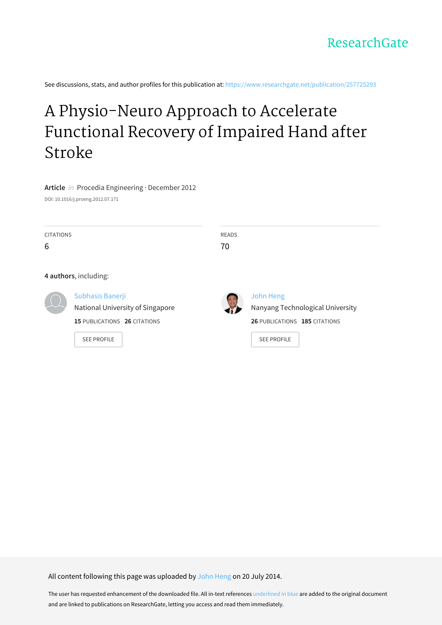See discussions, stats, and author profiles for this publication at: [https://www.researchgate.net/publication/257725293](https://www.researchgate.net/publication/257725293_A_Physio-Neuro_Approach_to_Accelerate_Functional_Recovery_of_Impaired_Hand_after_Stroke?enrichId=rgreq-3ec3e75fc8fee8304952a33710180224-XXX&enrichSource=Y292ZXJQYWdlOzI1NzcyNTI5MztBUzoxMjA5ODQ1MTg1MzMxMjBAMTQwNTg1NjM2NTQ2Mg%3D%3D&el=1_x_2&_esc=publicationCoverPdf)

# A [Physio-Neuro](https://www.researchgate.net/publication/257725293_A_Physio-Neuro_Approach_to_Accelerate_Functional_Recovery_of_Impaired_Hand_after_Stroke?enrichId=rgreq-3ec3e75fc8fee8304952a33710180224-XXX&enrichSource=Y292ZXJQYWdlOzI1NzcyNTI5MztBUzoxMjA5ODQ1MTg1MzMxMjBAMTQwNTg1NjM2NTQ2Mg%3D%3D&el=1_x_3&_esc=publicationCoverPdf) Approach to Accelerate Functional Recovery of Impaired Hand after Stroke

**Article** in Procedia Engineering · December 2012

DOI: 10.1016/j.proeng.2012.07.171

| <b>CITATIONS</b><br>6 |                                                                                                            | <b>READS</b><br>70 |                                                                                                             |
|-----------------------|------------------------------------------------------------------------------------------------------------|--------------------|-------------------------------------------------------------------------------------------------------------|
|                       | 4 authors, including:                                                                                      |                    |                                                                                                             |
|                       | Subhasis Banerji<br>National University of Singapore<br>15 PUBLICATIONS 26 CITATIONS<br><b>SEE PROFILE</b> |                    | <b>John Heng</b><br>Nanyang Technological University<br>26 PUBLICATIONS 185 CITATIONS<br><b>SEE PROFILE</b> |

All content following this page was uploaded by John [Heng](https://www.researchgate.net/profile/John_Heng?enrichId=rgreq-3ec3e75fc8fee8304952a33710180224-XXX&enrichSource=Y292ZXJQYWdlOzI1NzcyNTI5MztBUzoxMjA5ODQ1MTg1MzMxMjBAMTQwNTg1NjM2NTQ2Mg%3D%3D&el=1_x_10&_esc=publicationCoverPdf) on 20 July 2014.

The user has requested enhancement of the downloaded file. All in-text references underlined in blue are added to the original document and are linked to publications on ResearchGate, letting you access and read them immediately.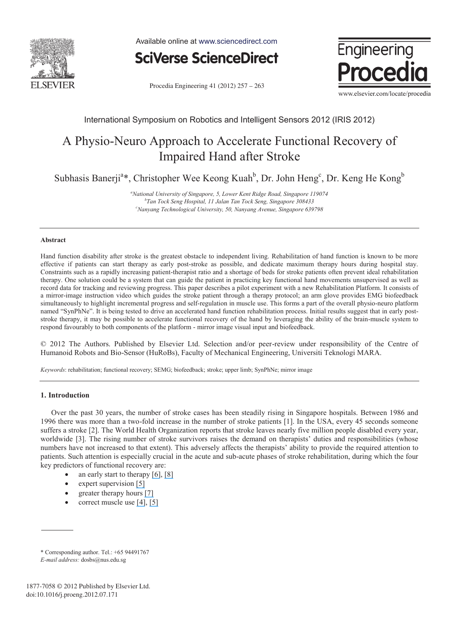

Available online at www.sciencedirect.com



Procedia Engineering  $41$  (2012)  $257 - 263$ 



www.elsevier.com/locate/procedia

### International Symposium on Robotics and Intelligent Sensors 2012 (IRIS 2012)

## A Physio-Neuro Approach to Accelerate Functional Recovery of Impaired Hand after Stroke

Subhasis Banerji<sup>a\*</sup>, Christopher Wee Keong Kuah<sup>b</sup>, Dr. John Heng<sup>c</sup>, Dr. Keng He Kong<sup>b</sup>

*a National University of Singapore, 5, Lower Kent Ridge Road, Singapore 119074 b Tan Tock Seng Hospital, 11 Jalan Tan Tock Seng, Singapore 308433 c Nanyang Technological University, 50, Nanyang Avenue, Singapore 639798* 

#### **Abstract**

Hand function disability after stroke is the greatest obstacle to independent living. Rehabilitation of hand function is known to be more effective if patients can start therapy as early post-stroke as possible, and dedicate maximum therapy hours during hospital stay. Constraints such as a rapidly increasing patient-therapist ratio and a shortage of beds for stroke patients often prevent ideal rehabilitation therapy. One solution could be a system that can guide the patient in practicing key functional hand movements unsupervised as well as record data for tracking and reviewing progress. This paper describes a pilot experiment with a new Rehabilitation Platform. It consists of a mirror-image instruction video which guides the stroke patient through a therapy protocol; an arm glove provides EMG biofeedback simultaneously to highlight incremental progress and self-regulation in muscle use. This forms a part of the overall physio-neuro platform named "SynPhNe". It is being tested to drive an accelerated hand function rehabilitation process. Initial results suggest that in early poststroke therapy, it may be possible to accelerate functional recovery of the hand by leveraging the ability of the brain-muscle system to respond favourably to both components of the platform - mirror image visual input and biofeedback.

© 2012 The Authors. Published by Elsevier Ltd. Selection and/or peer-review under responsibility of the Centre of Humanoid Robots and Bio-Sensor (HuRoBs), Faculty of Mechanical Engineering, Universiti Teknologi MARA.

*Keywords*: rehabilitation; functional recovery; SEMG; biofeedback; stroke; upper limb; SynPhNe; mirror image

#### **1. Introduction**

Over the past 30 years, the number of stroke cases has been steadily rising in Singapore hospitals. Between 1986 and 1996 there was more than a two-fold increase in the number of stroke patients [1]. In the USA, every 45 seconds someone suffers a stroke [2]. The World Health Organization reports that stroke leaves nearly five million people disabled every year, worldwide [3]. The rising number of stroke survivors raises the demand on therapists' duties and responsibilities (whose numbers have not increased to that extent). This adversely affects the therapists' ability to provide the required attention to patients. Such attention is especially crucial in the acute and sub-acute phases of stroke rehabilitation, during which the four key predictors of functional recovery are:

- an early start to therapy  $[6]$ ,  $[8]$
- expert supervision [\[5\]](https://www.researchgate.net/publication/23802433_Technology-assisted_training_of_arm-hand_skills_in_stroke_Concepts_on_reacquisition_of_motor_control_and_therapist_guidelines_for_rehabilitation_technology_design?el=1_x_8&enrichId=rgreq-3ec3e75fc8fee8304952a33710180224-XXX&enrichSource=Y292ZXJQYWdlOzI1NzcyNTI5MztBUzoxMjA5ODQ1MTg1MzMxMjBAMTQwNTg1NjM2NTQ2Mg==)
- greater therapy hours [\[7\]](https://www.researchgate.net/publication/6344093_Probability_of_Regaining_Dexterity_in_the_Flaccid_Upper_Limb_Impact_of_Severity_of_Paresis_and_Time_Since_Onset_in_Acute_Stroke?el=1_x_8&enrichId=rgreq-3ec3e75fc8fee8304952a33710180224-XXX&enrichSource=Y292ZXJQYWdlOzI1NzcyNTI5MztBUzoxMjA5ODQ1MTg1MzMxMjBAMTQwNTg1NjM2NTQ2Mg==)
- correct muscle use [\[4\]](https://www.researchgate.net/publication/8247706_Significance_of_poor_patient_participation_in_physical_and_occupational_therapy_for_functional_outcome_and_length_of_stay?el=1_x_8&enrichId=rgreq-3ec3e75fc8fee8304952a33710180224-XXX&enrichSource=Y292ZXJQYWdlOzI1NzcyNTI5MztBUzoxMjA5ODQ1MTg1MzMxMjBAMTQwNTg1NjM2NTQ2Mg==), [\[5\]](https://www.researchgate.net/publication/23802433_Technology-assisted_training_of_arm-hand_skills_in_stroke_Concepts_on_reacquisition_of_motor_control_and_therapist_guidelines_for_rehabilitation_technology_design?el=1_x_8&enrichId=rgreq-3ec3e75fc8fee8304952a33710180224-XXX&enrichSource=Y292ZXJQYWdlOzI1NzcyNTI5MztBUzoxMjA5ODQ1MTg1MzMxMjBAMTQwNTg1NjM2NTQ2Mg==)

<sup>\*</sup> Corresponding author. Tel.: +65 94491767

*E-mail address:* dosbs@nus.edu.sg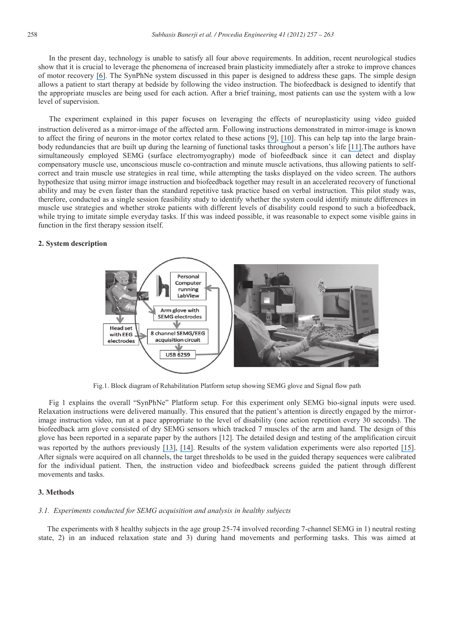In the present day, technology is unable to satisfy all four above requirements. In addition, recent neurological studies show that it is crucial to leverage the phenomena of increased brain plasticity immediately after a stroke to improve chances of motor recovery [\[6\]](https://www.researchgate.net/publication/13418324_Lesion-induced_plasticity_as_a_potential_mechanism_for_recovery_and_rehabilitative_training?el=1_x_8&enrichId=rgreq-3ec3e75fc8fee8304952a33710180224-XXX&enrichSource=Y292ZXJQYWdlOzI1NzcyNTI5MztBUzoxMjA5ODQ1MTg1MzMxMjBAMTQwNTg1NjM2NTQ2Mg==). The SynPhNe system discussed in this paper is designed to address these gaps. The simple design allows a patient to start therapy at bedside by following the video instruction. The biofeedback is designed to identify that the appropriate muscles are being used for each action. After a brief training, most patients can use the system with a low level of supervision.

The experiment explained in this paper focuses on leveraging the effects of neuroplasticity using video guided instruction delivered as a mirror-image of the affected arm. Following instructions demonstrated in mirror-image is known to affect the firing of neurons in the motor cortex related to these actions [\[9\]](https://www.researchgate.net/publication/9067724_Theoretical_and_Practical_Considerations_in_the_Restoration_of_Function_After_Stroke?el=1_x_8&enrichId=rgreq-3ec3e75fc8fee8304952a33710180224-XXX&enrichSource=Y292ZXJQYWdlOzI1NzcyNTI5MztBUzoxMjA5ODQ1MTg1MzMxMjBAMTQwNTg1NjM2NTQ2Mg==), [\[10\]](https://www.researchgate.net/publication/8491604_The_Mirror-Neuron_System?el=1_x_8&enrichId=rgreq-3ec3e75fc8fee8304952a33710180224-XXX&enrichSource=Y292ZXJQYWdlOzI1NzcyNTI5MztBUzoxMjA5ODQ1MTg1MzMxMjBAMTQwNTg1NjM2NTQ2Mg==). This can help tap into the large brainbody redundancies that are built up during the learning of functional tasks throughout a person's life [1[1\].](https://www.researchgate.net/publication/13526931_On_the_Problem_of_Adequate_Language_in_Motor_Control?el=1_x_8&enrichId=rgreq-3ec3e75fc8fee8304952a33710180224-XXX&enrichSource=Y292ZXJQYWdlOzI1NzcyNTI5MztBUzoxMjA5ODQ1MTg1MzMxMjBAMTQwNTg1NjM2NTQ2Mg==)The authors have simultaneously employed SEMG (surface electromyography) mode of biofeedback since it can detect and display compensatory muscle use, unconscious muscle co-contraction and minute muscle activations, thus allowing patients to selfcorrect and train muscle use strategies in real time, while attempting the tasks displayed on the video screen. The authors hypothesize that using mirror image instruction and biofeedback together may result in an accelerated recovery of functional ability and may be even faster than the standard repetitive task practice based on verbal instruction. This pilot study was, therefore, conducted as a single session feasibility study to identify whether the system could identify minute differences in muscle use strategies and whether stroke patients with different levels of disability could respond to such a biofeedback, while trying to imitate simple everyday tasks. If this was indeed possible, it was reasonable to expect some visible gains in function in the first therapy session itself.

#### **2. System description**



Fig.1. Block diagram of Rehabilitation Platform setup showing SEMG glove and Signal flow path

Fig 1 explains the overall "SynPhNe" Platform setup. For this experiment only SEMG bio-signal inputs were used. Relaxation instructions were delivered manually. This ensured that the patient's attention is directly engaged by the mirrorimage instruction video, run at a pace appropriate to the level of disability (one action repetition every 30 seconds). The biofeedback arm glove consisted of dry SEMG sensors which tracked 7 muscles of the arm and hand. The design of this glove has been reported in a separate paper by the authors [12]. The detailed design and testing of the amplification circuit was reported by the authors previously [\[13\]](https://www.researchgate.net/publication/224586236_A_step_towards_home-based_robotic_rehabilitation_An_interface_circuit_for_EEGSEMG_actuated_orthosis?el=1_x_8&enrichId=rgreq-3ec3e75fc8fee8304952a33710180224-XXX&enrichSource=Y292ZXJQYWdlOzI1NzcyNTI5MztBUzoxMjA5ODQ1MTg1MzMxMjBAMTQwNTg1NjM2NTQ2Mg==), [\[14\]](https://www.researchgate.net/publication/238341491_A_step_towards_multi-level_human_interface_devices_a_system_that_responds_to_EEGSEMG_triggers?el=1_x_8&enrichId=rgreq-3ec3e75fc8fee8304952a33710180224-XXX&enrichSource=Y292ZXJQYWdlOzI1NzcyNTI5MztBUzoxMjA5ODQ1MTg1MzMxMjBAMTQwNTg1NjM2NTQ2Mg==). Results of the system validation experiments were also reported [\[15\]](https://www.researchgate.net/publication/6291229_Surface_EMG_analysis_on_normal_subjects_based_on_isometric_voluntary_contraction?el=1_x_8&enrichId=rgreq-3ec3e75fc8fee8304952a33710180224-XXX&enrichSource=Y292ZXJQYWdlOzI1NzcyNTI5MztBUzoxMjA5ODQ1MTg1MzMxMjBAMTQwNTg1NjM2NTQ2Mg==). After signals were acquired on all channels, the target thresholds to be used in the guided therapy sequences were calibrated for the individual patient. Then, the instruction video and biofeedback screens guided the patient through different movements and tasks.

#### **3. Methods**

#### *3.1. Experiments conducted for SEMG acquisition and analysis in healthy subjects*

The experiments with 8 healthy subjects in the age group 25-74 involved recording 7-channel SEMG in 1) neutral resting state, 2) in an induced relaxation state and 3) during hand movements and performing tasks. This was aimed at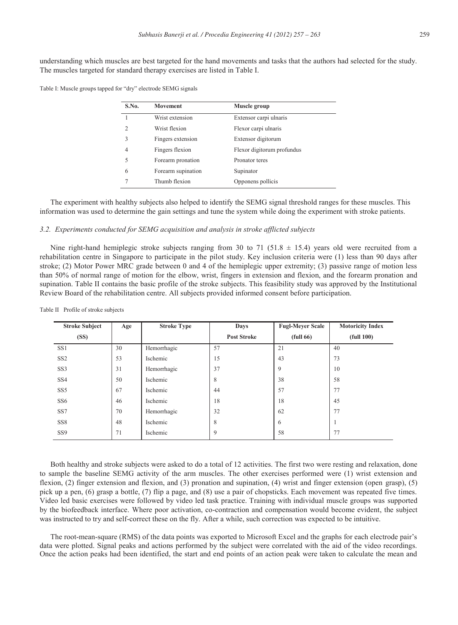understanding which muscles are best targeted for the hand movements and tasks that the authors had selected for the study. The muscles targeted for standard therapy exercises are listed in Table I.

Table I: Muscle groups tapped for "dry" electrode SEMG signals

| S.No.          | Movement           | Muscle group               |
|----------------|--------------------|----------------------------|
|                | Wrist extension    | Extensor carpi ulnaris     |
| $\overline{c}$ | Wrist flexion      | Flexor carpi ulnaris       |
| 3              | Fingers extension  | Extensor digitorum         |
| 4              | Fingers flexion    | Flexor digitorum profundus |
| 5              | Forearm pronation  | Pronator teres             |
| 6              | Forearm supination | Supinator                  |
|                | Thumb flexion      | Opponens pollicis          |

The experiment with healthy subjects also helped to identify the SEMG signal threshold ranges for these muscles. This information was used to determine the gain settings and tune the system while doing the experiment with stroke patients.

#### *3.2. Experiments conducted for SEMG acquisition and analysis in stroke afflicted subjects*

Nine right-hand hemiplegic stroke subjects ranging from 30 to 71 (51.8  $\pm$  15.4) years old were recruited from a rehabilitation centre in Singapore to participate in the pilot study. Key inclusion criteria were (1) less than 90 days after stroke; (2) Motor Power MRC grade between 0 and 4 of the hemiplegic upper extremity; (3) passive range of motion less than 50% of normal range of motion for the elbow, wrist, fingers in extension and flexion, and the forearm pronation and supination. Table II contains the basic profile of the stroke subjects. This feasibility study was approved by the Institutional Review Board of the rehabilitation centre. All subjects provided informed consent before participation.

| <b>Stroke Subject</b> | Age | <b>Stroke Type</b> | Days               | <b>Fugl-Meyer Scale</b> | <b>Motoricity Index</b> |
|-----------------------|-----|--------------------|--------------------|-------------------------|-------------------------|
| (SS)                  |     |                    | <b>Post Stroke</b> | (full 66)               | (full 100)              |
| SS1                   | 30  | Hemorrhagic        | 57                 | 21                      | 40                      |
| SS <sub>2</sub>       | 53  | Ischemic           | 15                 | 43                      | 73                      |
| SS3                   | 31  | Hemorrhagic        | 37                 | 9                       | 10                      |
| SS <sub>4</sub>       | 50  | Ischemic           | 8                  | 38                      | 58                      |
| SS <sub>5</sub>       | 67  | Ischemic           | 44                 | 57                      | 77                      |
| SS <sub>6</sub>       | 46  | Ischemic           | 18                 | 18                      | 45                      |
| SS7                   | 70  | Hemorrhagic        | 32                 | 62                      | 77                      |
| SS <sub>8</sub>       | 48  | Ischemic           | 8                  | 6                       |                         |
| SS <sub>9</sub>       | 71  | Ischemic           | 9                  | 58                      | 77                      |

Table II Profile of stroke subjects

Both healthy and stroke subjects were asked to do a total of 12 activities. The first two were resting and relaxation, done to sample the baseline SEMG activity of the arm muscles. The other exercises performed were (1) wrist extension and flexion, (2) finger extension and flexion, and (3) pronation and supination, (4) wrist and finger extension (open grasp), (5) pick up a pen, (6) grasp a bottle, (7) flip a page, and (8) use a pair of chopsticks. Each movement was repeated five times. Video led basic exercises were followed by video led task practice. Training with individual muscle groups was supported by the biofeedback interface. Where poor activation, co-contraction and compensation would become evident, the subject was instructed to try and self-correct these on the fly. After a while, such correction was expected to be intuitive.

The root-mean-square (RMS) of the data points was exported to Microsoft Excel and the graphs for each electrode pair's data were plotted. Signal peaks and actions performed by the subject were correlated with the aid of the video recordings. Once the action peaks had been identified, the start and end points of an action peak were taken to calculate the mean and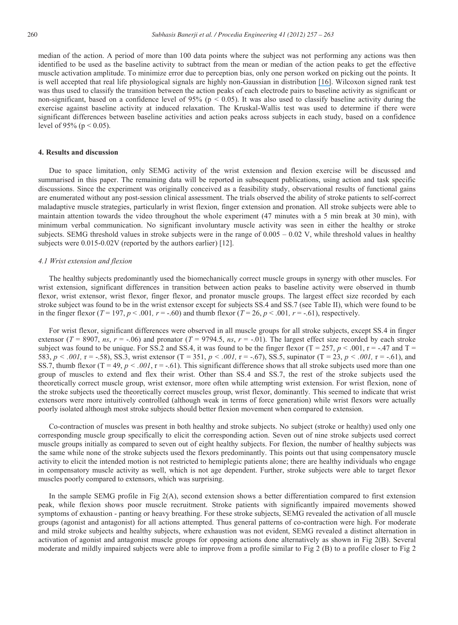median of the action. A period of more than 100 data points where the subject was not performing any actions was then identified to be used as the baseline activity to subtract from the mean or median of the action peaks to get the effective muscle activation amplitude. To minimize error due to perception bias, only one person worked on picking out the points. It is well accepted that real life physiological signals are highly non-Gaussian in distribution [\[16\]](https://www.researchgate.net/publication/287468644_Low_usage_of_intelligent_technologies_by_the_aged_New_initiatives_to_bridge_the_digital_divide?el=1_x_8&enrichId=rgreq-3ec3e75fc8fee8304952a33710180224-XXX&enrichSource=Y292ZXJQYWdlOzI1NzcyNTI5MztBUzoxMjA5ODQ1MTg1MzMxMjBAMTQwNTg1NjM2NTQ2Mg==). Wilcoxon signed rank test was thus used to classify the transition between the action peaks of each electrode pairs to baseline activity as significant or non-significant, based on a confidence level of 95% ( $p < 0.05$ ). It was also used to classify baseline activity during the exercise against baseline activity at induced relaxation. The Kruskal-Wallis test was used to determine if there were significant differences between baseline activities and action peaks across subjects in each study, based on a confidence level of 95% ( $p < 0.05$ ).

#### **4. Results and discussion**

Due to space limitation, only SEMG activity of the wrist extension and flexion exercise will be discussed and summarised in this paper. The remaining data will be reported in subsequent publications, using action and task specific discussions. Since the experiment was originally conceived as a feasibility study, observational results of functional gains are enumerated without any post-session clinical assessment. The trials observed the ability of stroke patients to self-correct maladaptive muscle strategies, particularly in wrist flexion, finger extension and pronation. All stroke subjects were able to maintain attention towards the video throughout the whole experiment (47 minutes with a 5 min break at 30 min), with minimum verbal communication. No significant involuntary muscle activity was seen in either the healthy or stroke subjects. SEMG threshold values in stroke subjects were in the range of  $0.005 - 0.02$  V, while threshold values in healthy subjects were 0.015-0.02V (reported by the authors earlier) [12].

#### *4.1 Wrist extension and flexion*

The healthy subjects predominantly used the biomechanically correct muscle groups in synergy with other muscles. For wrist extension, significant differences in transition between action peaks to baseline activity were observed in thumb flexor, wrist extensor, wrist flexor, finger flexor, and pronator muscle groups. The largest effect size recorded by each stroke subject was found to be in the wrist extensor except for subjects SS.4 and SS.7 (see Table II), which were found to be in the finger flexor ( $T = 197$ ,  $p < .001$ ,  $r = -.60$ ) and thumb flexor ( $T = 26$ ,  $p < .001$ ,  $r = -.61$ ), respectively.

For wrist flexor, significant differences were observed in all muscle groups for all stroke subjects, except SS.4 in finger extensor ( $T = 8907$ ,  $n_s$ ,  $r = -0.06$ ) and pronator ( $T = 9794.5$ ,  $n_s$ ,  $r = -0.01$ ). The largest effect size recorded by each stroke subject was found to be unique. For SS.2 and SS.4, it was found to be the finger flexor  $(T = 257, p < .001, r = .47$  and  $T =$ 583, *p < .001,* r = -.58), SS.3, wrist extensor (T = 351, *p < .001,* r = -.67), SS.5, supinator (T = 23, *p < .001,* r = -.61), and SS.7, thumb flexor  $(T = 49, p < .001, r = .61)$ . This significant difference shows that all stroke subjects used more than one group of muscles to extend and flex their wrist. Other than SS.4 and SS.7, the rest of the stroke subjects used the theoretically correct muscle group, wrist extensor, more often while attempting wrist extension. For wrist flexion, none of the stroke subjects used the theoretically correct muscles group, wrist flexor, dominantly. This seemed to indicate that wrist extensors were more intuitively controlled (although weak in terms of force generation) while wrist flexors were actually poorly isolated although most stroke subjects should better flexion movement when compared to extension.

Co-contraction of muscles was present in both healthy and stroke subjects. No subject (stroke or healthy) used only one corresponding muscle group specifically to elicit the corresponding action. Seven out of nine stroke subjects used correct muscle groups initially as compared to seven out of eight healthy subjects. For flexion, the number of healthy subjects was the same while none of the stroke subjects used the flexors predominantly. This points out that using compensatory muscle activity to elicit the intended motion is not restricted to hemiplegic patients alone; there are healthy individuals who engage in compensatory muscle activity as well, which is not age dependent. Further, stroke subjects were able to target flexor muscles poorly compared to extensors, which was surprising.

In the sample SEMG profile in Fig 2(A), second extension shows a better differentiation compared to first extension peak, while flexion shows poor muscle recruitment. Stroke patients with significantly impaired movements showed symptoms of exhaustion - panting or heavy breathing. For these stroke subjects, SEMG revealed the activation of all muscle groups (agonist and antagonist) for all actions attempted. Thus general patterns of co-contraction were high. For moderate and mild stroke subjects and healthy subjects, where exhaustion was not evident, SEMG revealed a distinct alternation in activation of agonist and antagonist muscle groups for opposing actions done alternatively as shown in Fig 2(B). Several moderate and mildly impaired subjects were able to improve from a profile similar to Fig 2 (B) to a profile closer to Fig 2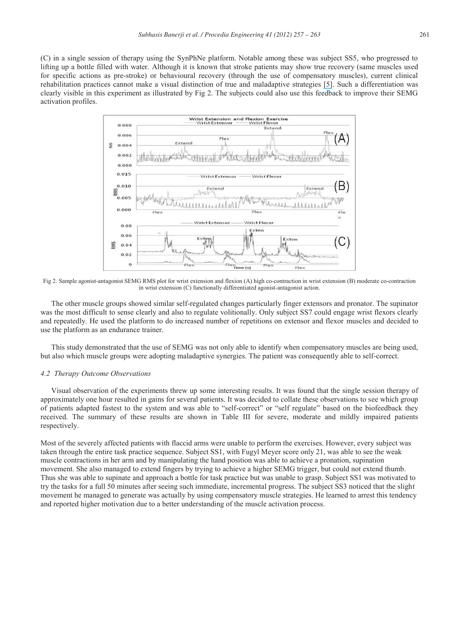(C) in a single session of therapy using the SynPhNe platform. Notable among these was subject SS5, who progressed to lifting up a bottle filled with water. Although it is known that stroke patients may show true recovery (same muscles used for specific actions as pre-stroke) or behavioural recovery (through the use of compensatory muscles), current clinical rehabilitation practices cannot make a visual distinction of true and maladaptive strategies [\[5\]](https://www.researchgate.net/publication/23802433_Technology-assisted_training_of_arm-hand_skills_in_stroke_Concepts_on_reacquisition_of_motor_control_and_therapist_guidelines_for_rehabilitation_technology_design?el=1_x_8&enrichId=rgreq-3ec3e75fc8fee8304952a33710180224-XXX&enrichSource=Y292ZXJQYWdlOzI1NzcyNTI5MztBUzoxMjA5ODQ1MTg1MzMxMjBAMTQwNTg1NjM2NTQ2Mg==). Such a differentiation was clearly visible in this experiment as illustrated by Fig 2. The subjects could also use this feedback to improve their SEMG activation profiles.



Fig 2. Sample agonist-antagonist SEMG RMS plot for wrist extension and flexion (A) high co-contraction in wrist extension (B) moderate co-contraction in wrist extension (C) functionally differentiated agonist-antagonist action.

The other muscle groups showed similar self-regulated changes particularly finger extensors and pronator. The supinator was the most difficult to sense clearly and also to regulate volitionally. Only subject SS7 could engage wrist flexors clearly and repeatedly. He used the platform to do increased number of repetitions on extensor and flexor muscles and decided to use the platform as an endurance trainer.

This study demonstrated that the use of SEMG was not only able to identify when compensatory muscles are being used, but also which muscle groups were adopting maladaptive synergies. The patient was consequently able to self-correct.

#### *4.2 Therapy Outcome Observations*

Visual observation of the experiments threw up some interesting results. It was found that the single session therapy of approximately one hour resulted in gains for several patients. It was decided to collate these observations to see which group of patients adapted fastest to the system and was able to "self-correct" or "self regulate" based on the biofeedback they received. The summary of these results are shown in Table III for severe, moderate and mildly impaired patients respectively.

Most of the severely affected patients with flaccid arms were unable to perform the exercises. However, every subject was taken through the entire task practice sequence. Subject SS1, with Fugyl Meyer score only 21, was able to see the weak muscle contractions in her arm and by manipulating the hand position was able to achieve a pronation, supination movement. She also managed to extend fingers by trying to achieve a higher SEMG trigger, but could not extend thumb. Thus she was able to supinate and approach a bottle for task practice but was unable to grasp. Subject SS1 was motivated to try the tasks for a full 50 minutes after seeing such immediate, incremental progress. The subject SS3 noticed that the slight movement he managed to generate was actually by using compensatory muscle strategies. He learned to arrest this tendency and reported higher motivation due to a better understanding of the muscle activation process.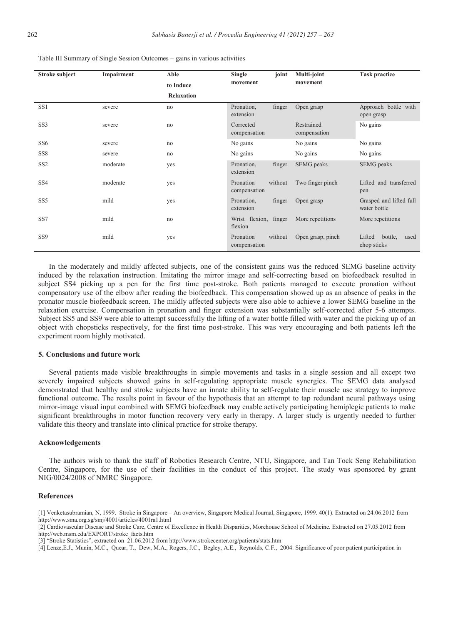| Table III Summary of Single Session Outcomes – gains in various activities |  |  |  |
|----------------------------------------------------------------------------|--|--|--|
|                                                                            |  |  |  |
|                                                                            |  |  |  |
|                                                                            |  |  |  |

| Stroke subject  | Impairment | Able              | Single<br>joint                      | Multi-joint                | <b>Task practice</b>                     |
|-----------------|------------|-------------------|--------------------------------------|----------------------------|------------------------------------------|
|                 |            | to Induce         | movement                             | movement                   |                                          |
|                 |            | <b>Relaxation</b> |                                      |                            |                                          |
| SS1             | severe     | no                | Pronation,<br>finger<br>extension    | Open grasp                 | Approach bottle with<br>open grasp       |
| SS <sub>3</sub> | severe     | no                | Corrected<br>compensation            | Restrained<br>compensation | No gains                                 |
| SS <sub>6</sub> | severe     | no                | No gains                             | No gains                   | No gains                                 |
| SS8             | severe     | no                | No gains                             | No gains                   | No gains                                 |
| SS <sub>2</sub> | moderate   | yes               | Pronation,<br>finger<br>extension    | SEMG peaks                 | <b>SEMG</b> peaks                        |
| SS <sub>4</sub> | moderate   | ves               | without<br>Pronation<br>compensation | Two finger pinch           | Lifted and transferred<br>pen            |
| SS5             | mild       | yes               | Pronation,<br>finger<br>extension    | Open grasp                 | Grasped and lifted full<br>water bottle  |
| SS7             | mild       | no                | Wrist flexion, finger<br>flexion     | More repetitions           | More repetitions                         |
| SS <sub>9</sub> | mild       | yes               | without<br>Pronation<br>compensation | Open grasp, pinch          | Lifted<br>bottle,<br>used<br>chop sticks |

In the moderately and mildly affected subjects, one of the consistent gains was the reduced SEMG baseline activity induced by the relaxation instruction. Imitating the mirror image and self-correcting based on biofeedback resulted in subject SS4 picking up a pen for the first time post-stroke. Both patients managed to execute pronation without compensatory use of the elbow after reading the biofeedback. This compensation showed up as an absence of peaks in the pronator muscle biofeedback screen. The mildly affected subjects were also able to achieve a lower SEMG baseline in the relaxation exercise. Compensation in pronation and finger extension was substantially self-corrected after 5-6 attempts. Subject SS5 and SS9 were able to attempt successfully the lifting of a water bottle filled with water and the picking up of an object with chopsticks respectively, for the first time post-stroke. This was very encouraging and both patients left the experiment room highly motivated.

#### **5. Conclusions and future work**

Several patients made visible breakthroughs in simple movements and tasks in a single session and all except two severely impaired subjects showed gains in self-regulating appropriate muscle synergies. The SEMG data analysed demonstrated that healthy and stroke subjects have an innate ability to self-regulate their muscle use strategy to improve functional outcome. The results point in favour of the hypothesis that an attempt to tap redundant neural pathways using mirror-image visual input combined with SEMG biofeedback may enable actively participating hemiplegic patients to make significant breakthroughs in motor function recovery very early in therapy. A larger study is urgently needed to further validate this theory and translate into clinical practice for stroke therapy.

#### **Acknowledgements**

The authors wish to thank the staff of Robotics Research Centre, NTU, Singapore, and Tan Tock Seng Rehabilitation Centre, Singapore, for the use of their facilities in the conduct of this project. The study was sponsored by grant NIG/0024/2008 of NMRC Singapore.

#### **References**

[1] Venketasubramian, N, 1999. Stroke in Singapore – An overview, Singapore Medical Journal, Singapore, 1999. 40(1). Extracted on 24.06.2012 from http://www.sma.org.sg/smj/4001/articles/4001ra1.html

<sup>[2]</sup> Cardiovascular Disease and Stroke Care, Centre of Excellence in Health Disparities, Morehouse School of Medicine. Extracted on 27.05.2012 from http://web.msm.edu/EXPORT/stroke\_facts.htm

<sup>[3] &</sup>quot;Stroke Statistics", extracted on 21.06.2012 from http://www.strokecenter.org/patients/stats.htm

<sup>[4]</sup> Lenze,E.J., Munin, M.C., Quear, T., Dew, M.A., Rogers, J.C., Begley, A.E., Reynolds, C.F., 2004. Significance of poor patient participation in